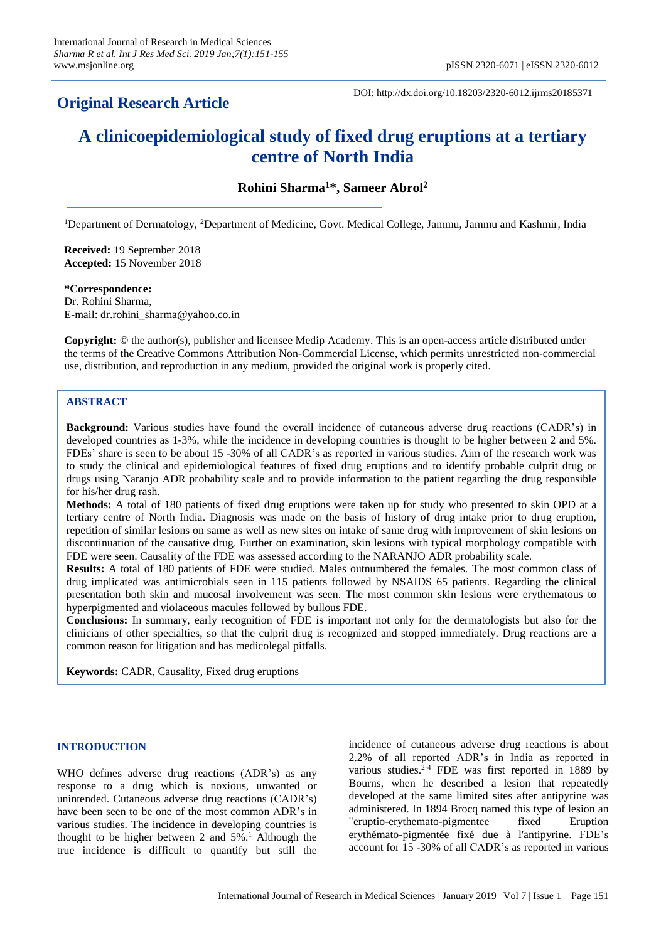# **Original Research Article**

DOI: http://dx.doi.org/10.18203/2320-6012.ijrms20185371

# **A clinicoepidemiological study of fixed drug eruptions at a tertiary centre of North India**

**Rohini Sharma<sup>1</sup>\*, Sameer Abrol<sup>2</sup>**

<sup>1</sup>Department of Dermatology, <sup>2</sup>Department of Medicine, Govt. Medical College, Jammu, Jammu and Kashmir, India

**Received:** 19 September 2018 **Accepted:** 15 November 2018

**\*Correspondence:** Dr. Rohini Sharma, E-mail: dr.rohini\_sharma@yahoo.co.in

**Copyright:** © the author(s), publisher and licensee Medip Academy. This is an open-access article distributed under the terms of the Creative Commons Attribution Non-Commercial License, which permits unrestricted non-commercial use, distribution, and reproduction in any medium, provided the original work is properly cited.

# **ABSTRACT**

**Background:** Various studies have found the overall incidence of cutaneous adverse drug reactions (CADR's) in developed countries as 1-3%, while the incidence in developing countries is thought to be higher between 2 and 5%. FDEs' share is seen to be about 15 -30% of all CADR's as reported in various studies. Aim of the research work was to study the clinical and epidemiological features of fixed drug eruptions and to identify probable culprit drug or drugs using Naranjo ADR probability scale and to provide information to the patient regarding the drug responsible for his/her drug rash.

**Methods:** A total of 180 patients of fixed drug eruptions were taken up for study who presented to skin OPD at a tertiary centre of North India. Diagnosis was made on the basis of history of drug intake prior to drug eruption, repetition of similar lesions on same as well as new sites on intake of same drug with improvement of skin lesions on discontinuation of the causative drug. Further on examination, skin lesions with typical morphology compatible with FDE were seen. Causality of the FDE was assessed according to the NARANJO ADR probability scale.

**Results:** A total of 180 patients of FDE were studied. Males outnumbered the females. The most common class of drug implicated was antimicrobials seen in 115 patients followed by NSAIDS 65 patients. Regarding the clinical presentation both skin and mucosal involvement was seen. The most common skin lesions were erythematous to hyperpigmented and violaceous macules followed by bullous FDE.

**Conclusions:** In summary, early recognition of FDE is important not only for the dermatologists but also for the clinicians of other specialties, so that the culprit drug is recognized and stopped immediately. Drug reactions are a common reason for litigation and has medicolegal pitfalls.

**Keywords:** CADR, Causality, Fixed drug eruptions

# **INTRODUCTION**

WHO defines adverse drug reactions (ADR's) as any response to a drug which is noxious, unwanted or unintended. Cutaneous adverse drug reactions (CADR's) have been seen to be one of the most common ADR's in various studies. The incidence in developing countries is thought to be higher between 2 and  $5\%$ .<sup>1</sup> Although the true incidence is difficult to quantify but still the incidence of cutaneous adverse drug reactions is about 2.2% of all reported ADR's in India as reported in various studies. $2-4$  FDE was first reported in 1889 by Bourns, when he described a lesion that repeatedly developed at the same limited sites after antipyrine was administered. In 1894 Brocq named this type of lesion an "eruptio-erythemato-pigmentee fixed Eruption erythémato-pigmentée fixé due à l'antipyrine. FDE's account for 15 -30% of all CADR's as reported in various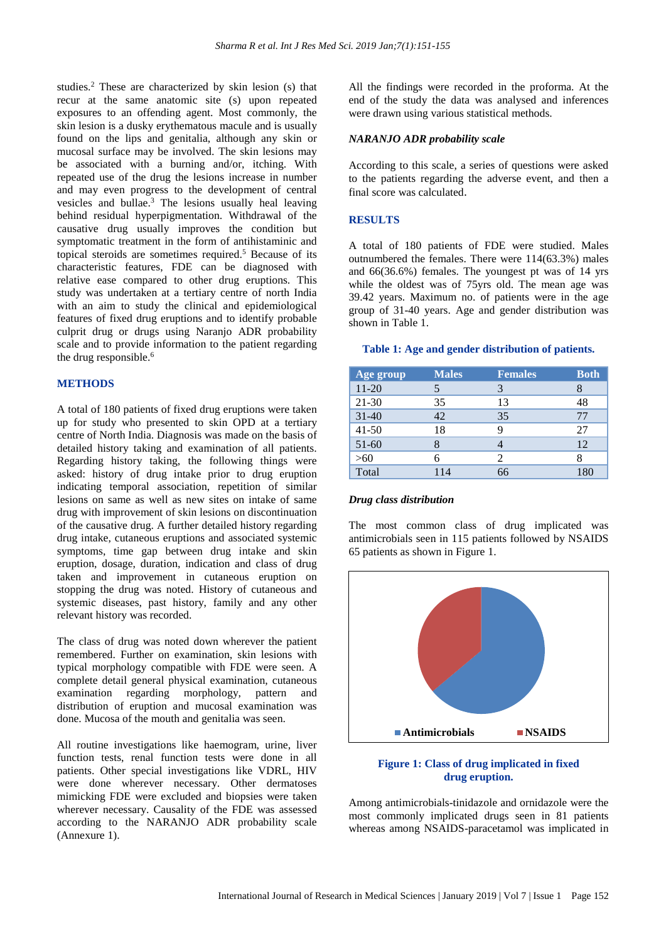studies.<sup>2</sup> These are characterized by skin lesion (s) that recur at the same anatomic site (s) upon repeated exposures to an offending agent. Most commonly, the skin lesion is a dusky erythematous macule and is usually found on the lips and genitalia, although any skin or mucosal surface may be involved. The skin lesions may be associated with a burning and/or, itching. With repeated use of the drug the lesions increase in number and may even progress to the development of central vesicles and bullae.<sup>3</sup> The lesions usually heal leaving behind residual hyperpigmentation. Withdrawal of the causative drug usually improves the condition but symptomatic treatment in the form of antihistaminic and topical steroids are sometimes required.<sup>5</sup> Because of its characteristic features, FDE can be diagnosed with relative ease compared to other drug eruptions. This study was undertaken at a tertiary centre of north India with an aim to study the clinical and epidemiological features of fixed drug eruptions and to identify probable culprit drug or drugs using Naranjo ADR probability scale and to provide information to the patient regarding the drug responsible.<sup>6</sup>

# **METHODS**

A total of 180 patients of fixed drug eruptions were taken up for study who presented to skin OPD at a tertiary centre of North India. Diagnosis was made on the basis of detailed history taking and examination of all patients. Regarding history taking, the following things were asked: history of drug intake prior to drug eruption indicating temporal association, repetition of similar lesions on same as well as new sites on intake of same drug with improvement of skin lesions on discontinuation of the causative drug. A further detailed history regarding drug intake, cutaneous eruptions and associated systemic symptoms, time gap between drug intake and skin eruption, dosage, duration, indication and class of drug taken and improvement in cutaneous eruption on stopping the drug was noted. History of cutaneous and systemic diseases, past history, family and any other relevant history was recorded.

The class of drug was noted down wherever the patient remembered. Further on examination, skin lesions with typical morphology compatible with FDE were seen. A complete detail general physical examination, cutaneous examination regarding morphology, pattern and distribution of eruption and mucosal examination was done. Mucosa of the mouth and genitalia was seen.

All routine investigations like haemogram, urine, liver function tests, renal function tests were done in all patients. Other special investigations like VDRL, HIV were done wherever necessary. Other dermatoses mimicking FDE were excluded and biopsies were taken wherever necessary. Causality of the FDE was assessed according to the NARANJO ADR probability scale (Annexure 1).

All the findings were recorded in the proforma. At the end of the study the data was analysed and inferences were drawn using various statistical methods.

# *NARANJO ADR probability scale*

According to this scale, a series of questions were asked to the patients regarding the adverse event, and then a final score was calculated.

# **RESULTS**

A total of 180 patients of FDE were studied. Males outnumbered the females. There were 114(63.3%) males and 66(36.6%) females. The youngest pt was of 14 yrs while the oldest was of 75yrs old. The mean age was 39.42 years. Maximum no. of patients were in the age group of 31-40 years. Age and gender distribution was shown in Table 1.

#### **Table 1: Age and gender distribution of patients.**

| Age group | <b>Males</b> | <b>Females</b> | <b>Both</b> |
|-----------|--------------|----------------|-------------|
| $11 - 20$ |              |                | 8           |
| 21-30     | 35           | 13             | 48          |
| $31 - 40$ | 42           | 35             | 77          |
| $41 - 50$ | 18           |                | 27          |
| 51-60     | x            |                | 12          |
| >60       |              | 2              |             |
| Total     | 114          | 66             | 180         |

#### *Drug class distribution*

The most common class of drug implicated was antimicrobials seen in 115 patients followed by NSAIDS 65 patients as shown in Figure 1.



# **Figure 1: Class of drug implicated in fixed drug eruption.**

Among antimicrobials-tinidazole and ornidazole were the most commonly implicated drugs seen in 81 patients whereas among NSAIDS-paracetamol was implicated in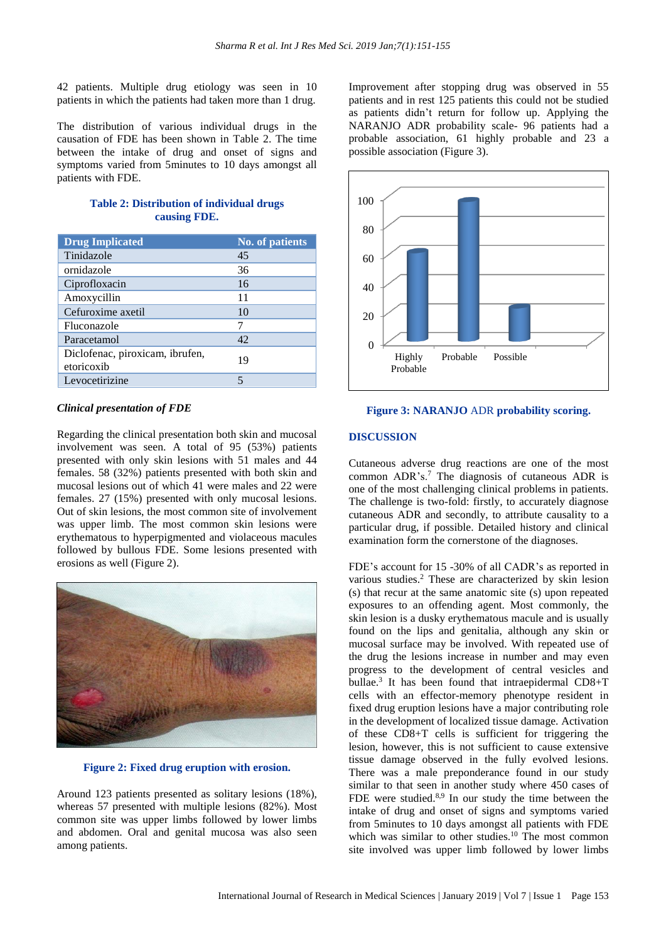42 patients. Multiple drug etiology was seen in 10 patients in which the patients had taken more than 1 drug.

The distribution of various individual drugs in the causation of FDE has been shown in Table 2. The time between the intake of drug and onset of signs and symptoms varied from 5minutes to 10 days amongst all patients with FDE.

|              | <b>Table 2: Distribution of individual drugs</b> |  |
|--------------|--------------------------------------------------|--|
| causing FDE. |                                                  |  |

| <b>Drug Implicated</b>                        | <b>No. of patients</b> |
|-----------------------------------------------|------------------------|
| Tinidazole                                    | 45                     |
| ornidazole                                    | 36                     |
| Ciprofloxacin                                 | 16                     |
| Amoxycillin                                   | 11                     |
| Cefuroxime axetil                             | 10                     |
| Fluconazole                                   | 7                      |
| Paracetamol                                   | 42                     |
| Diclofenac, piroxicam, ibrufen,<br>etoricoxib | 19                     |
| Levocetirizine                                |                        |

#### *Clinical presentation of FDE*

Regarding the clinical presentation both skin and mucosal involvement was seen. A total of 95 (53%) patients presented with only skin lesions with 51 males and 44 females. 58 (32%) patients presented with both skin and mucosal lesions out of which 41 were males and 22 were females. 27 (15%) presented with only mucosal lesions. Out of skin lesions, the most common site of involvement was upper limb. The most common skin lesions were erythematous to hyperpigmented and violaceous macules followed by bullous FDE. Some lesions presented with erosions as well (Figure 2).



**Figure 2: Fixed drug eruption with erosion.**

Around 123 patients presented as solitary lesions (18%), whereas 57 presented with multiple lesions (82%). Most common site was upper limbs followed by lower limbs and abdomen. Oral and genital mucosa was also seen among patients.

Improvement after stopping drug was observed in 55 patients and in rest 125 patients this could not be studied as patients didn't return for follow up. Applying the NARANJO ADR probability scale- 96 patients had a probable association, 61 highly probable and 23 a possible association (Figure 3).



#### **Figure 3: NARANJO** ADR **probability scoring.**

## **DISCUSSION**

Cutaneous adverse drug reactions are one of the most common ADR's.<sup>7</sup> The diagnosis of cutaneous ADR is one of the most challenging clinical problems in patients. The challenge is two-fold: firstly, to accurately diagnose cutaneous ADR and secondly, to attribute causality to a particular drug, if possible. Detailed history and clinical examination form the cornerstone of the diagnoses.

FDE's account for 15 -30% of all CADR's as reported in various studies.<sup>2</sup> These are characterized by skin lesion (s) that recur at the same anatomic site (s) upon repeated exposures to an offending agent. Most commonly, the skin lesion is a dusky erythematous macule and is usually found on the lips and genitalia, although any skin or mucosal surface may be involved. With repeated use of the drug the lesions increase in number and may even progress to the development of central vesicles and bullae.<sup>3</sup> It has been found that intraepidermal CD8+T cells with an effector-memory phenotype resident in fixed drug eruption lesions have a major contributing role in the development of localized tissue damage. Activation of these CD8+T cells is sufficient for triggering the lesion, however, this is not sufficient to cause extensive tissue damage observed in the fully evolved lesions. There was a male preponderance found in our study similar to that seen in another study where 450 cases of FDE were studied.<sup>8,9</sup> In our study the time between the intake of drug and onset of signs and symptoms varied from 5minutes to 10 days amongst all patients with FDE which was similar to other studies.<sup>10</sup> The most common site involved was upper limb followed by lower limbs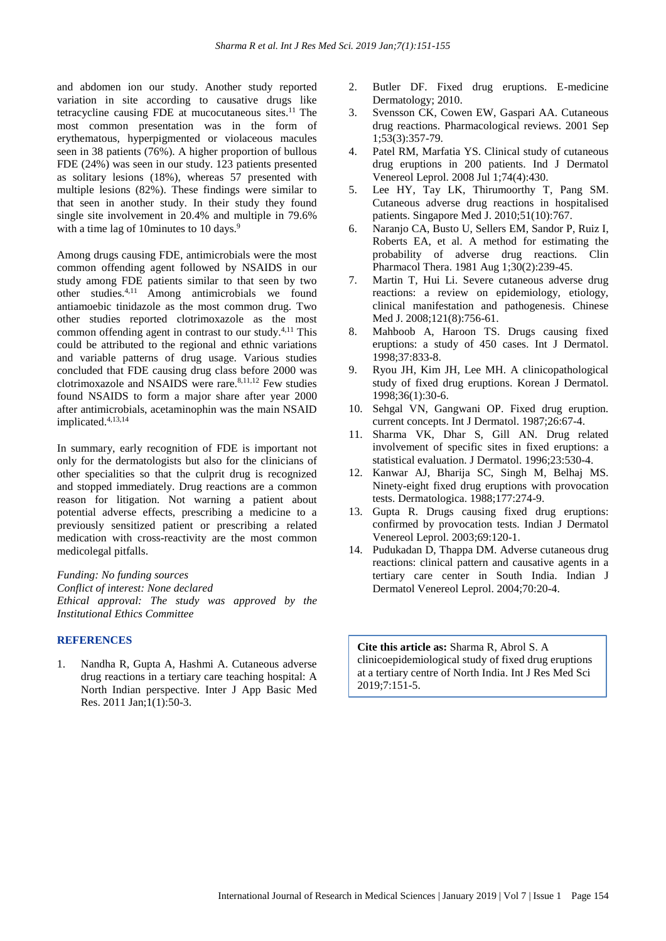and abdomen ion our study. Another study reported variation in site according to causative drugs like tetracycline causing FDE at mucocutaneous sites. $11$  The most common presentation was in the form of erythematous, hyperpigmented or violaceous macules seen in 38 patients (76%). A higher proportion of bullous FDE (24%) was seen in our study. 123 patients presented as solitary lesions (18%), whereas 57 presented with multiple lesions (82%). These findings were similar to that seen in another study. In their study they found single site involvement in 20.4% and multiple in 79.6% with a time lag of 10 minutes to 10 days.<sup>9</sup>

Among drugs causing FDE, antimicrobials were the most common offending agent followed by NSAIDS in our study among FDE patients similar to that seen by two other studies.4,11 Among antimicrobials we found antiamoebic tinidazole as the most common drug. Two other studies reported clotrimoxazole as the most common offending agent in contrast to our study.4,11 This could be attributed to the regional and ethnic variations and variable patterns of drug usage. Various studies concluded that FDE causing drug class before 2000 was clotrimoxazole and NSAIDS were rare. $8,11,12$  Few studies found NSAIDS to form a major share after year 2000 after antimicrobials, acetaminophin was the main NSAID implicated.4,13,14

In summary, early recognition of FDE is important not only for the dermatologists but also for the clinicians of other specialities so that the culprit drug is recognized and stopped immediately. Drug reactions are a common reason for litigation. Not warning a patient about potential adverse effects, prescribing a medicine to a previously sensitized patient or prescribing a related medication with cross-reactivity are the most common medicolegal pitfalls.

*Funding: No funding sources Conflict of interest: None declared Ethical approval: The study was approved by the Institutional Ethics Committee*

#### **REFERENCES**

1. Nandha R, Gupta A, Hashmi A. Cutaneous adverse drug reactions in a tertiary care teaching hospital: A North Indian perspective. Inter J App Basic Med Res. 2011 Jan;1(1):50-3.

- 2. Butler DF. Fixed drug eruptions. E-medicine Dermatology; 2010.
- 3. Svensson CK, Cowen EW, Gaspari AA. Cutaneous drug reactions. Pharmacological reviews. 2001 Sep 1;53(3):357-79.
- 4. Patel RM, Marfatia YS. Clinical study of cutaneous drug eruptions in 200 patients. Ind J Dermatol Venereol Leprol. 2008 Jul 1;74(4):430.
- 5. Lee HY, Tay LK, Thirumoorthy T, Pang SM. Cutaneous adverse drug reactions in hospitalised patients. Singapore Med J. 2010;51(10):767.
- 6. Naranjo CA, Busto U, Sellers EM, Sandor P, Ruiz I, Roberts EA, et al. A method for estimating the probability of adverse drug reactions. Clin Pharmacol Thera. 1981 Aug 1;30(2):239-45.
- 7. Martin T, Hui Li. Severe cutaneous adverse drug reactions: a review on epidemiology, etiology, clinical manifestation and pathogenesis. Chinese Med J. 2008;121(8):756-61.
- 8. Mahboob A, Haroon TS. Drugs causing fixed eruptions: a study of 450 cases. Int J Dermatol. 1998;37:833-8.
- 9. Ryou JH, Kim JH, Lee MH. A clinicopathological study of fixed drug eruptions. Korean J Dermatol. 1998;36(1):30-6.
- 10. Sehgal VN, Gangwani OP. Fixed drug eruption. current concepts. Int J Dermatol. 1987;26:67-4.
- 11. Sharma VK, Dhar S, Gill AN. Drug related involvement of specific sites in fixed eruptions: a statistical evaluation. J Dermatol. 1996;23:530-4.
- 12. Kanwar AJ, Bharija SC, Singh M, Belhaj MS. Ninety-eight fixed drug eruptions with provocation tests. Dermatologica. 1988;177:274-9.
- 13. Gupta R. Drugs causing fixed drug eruptions: confirmed by provocation tests. Indian J Dermatol Venereol Leprol. 2003;69:120-1.
- 14. Pudukadan D, Thappa DM. Adverse cutaneous drug reactions: clinical pattern and causative agents in a tertiary care center in South India. Indian J Dermatol Venereol Leprol. 2004;70:20-4.

**Cite this article as:** Sharma R, Abrol S. A clinicoepidemiological study of fixed drug eruptions at a tertiary centre of North India. Int J Res Med Sci 2019;7:151-5.